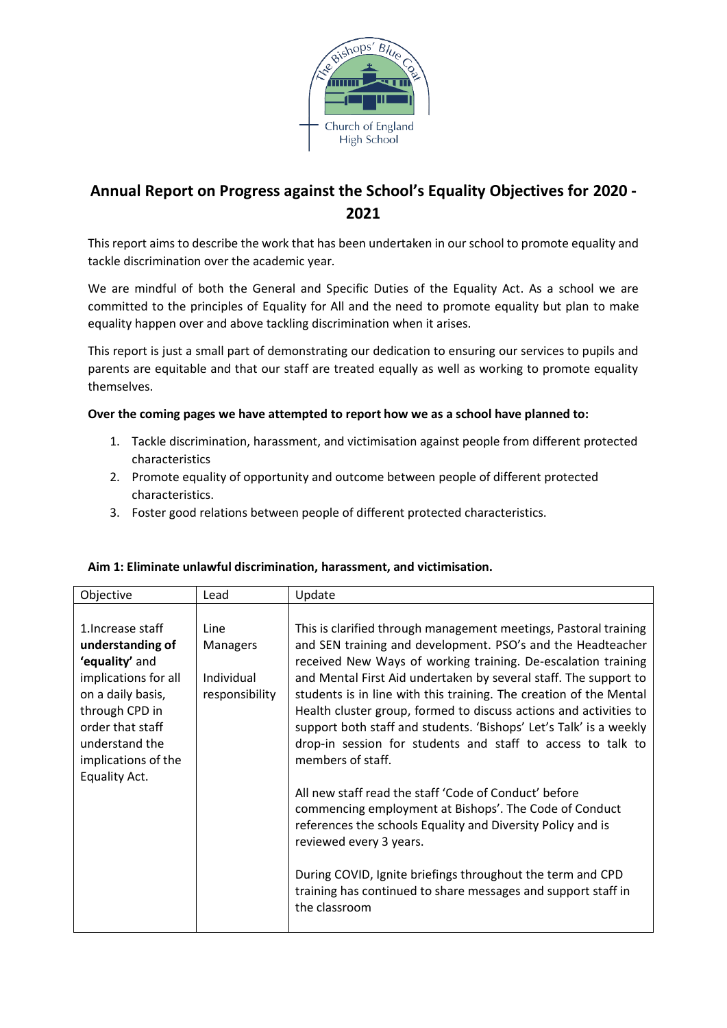

# **Annual Report on Progress against the School's Equality Objectives for 2020 - 2021**

This report aims to describe the work that has been undertaken in our school to promote equality and tackle discrimination over the academic year*.*

We are mindful of both the General and Specific Duties of the Equality Act. As a school we are committed to the principles of Equality for All and the need to promote equality but plan to make equality happen over and above tackling discrimination when it arises.

This report is just a small part of demonstrating our dedication to ensuring our services to pupils and parents are equitable and that our staff are treated equally as well as working to promote equality themselves.

### **Over the coming pages we have attempted to report how we as a school have planned to:**

- 1. Tackle discrimination, harassment, and victimisation against people from different protected characteristics
- 2. Promote equality of opportunity and outcome between people of different protected characteristics.
- 3. Foster good relations between people of different protected characteristics.

| Objective                                                                                                                                                                                            | Lead                                             | Update                                                                                                                                                                                                                                                                                                                                                                                                                                                                                                                                                                                                                                                                                                                                                                                                                                                                                                                                 |
|------------------------------------------------------------------------------------------------------------------------------------------------------------------------------------------------------|--------------------------------------------------|----------------------------------------------------------------------------------------------------------------------------------------------------------------------------------------------------------------------------------------------------------------------------------------------------------------------------------------------------------------------------------------------------------------------------------------------------------------------------------------------------------------------------------------------------------------------------------------------------------------------------------------------------------------------------------------------------------------------------------------------------------------------------------------------------------------------------------------------------------------------------------------------------------------------------------------|
| 1. Increase staff<br>understanding of<br>'equality' and<br>implications for all<br>on a daily basis,<br>through CPD in<br>order that staff<br>understand the<br>implications of the<br>Equality Act. | Line<br>Managers<br>Individual<br>responsibility | This is clarified through management meetings, Pastoral training<br>and SEN training and development. PSO's and the Headteacher<br>received New Ways of working training. De-escalation training<br>and Mental First Aid undertaken by several staff. The support to<br>students is in line with this training. The creation of the Mental<br>Health cluster group, formed to discuss actions and activities to<br>support both staff and students. 'Bishops' Let's Talk' is a weekly<br>drop-in session for students and staff to access to talk to<br>members of staff.<br>All new staff read the staff 'Code of Conduct' before<br>commencing employment at Bishops'. The Code of Conduct<br>references the schools Equality and Diversity Policy and is<br>reviewed every 3 years.<br>During COVID, Ignite briefings throughout the term and CPD<br>training has continued to share messages and support staff in<br>the classroom |

#### **Aim 1: Eliminate unlawful discrimination, harassment, and victimisation.**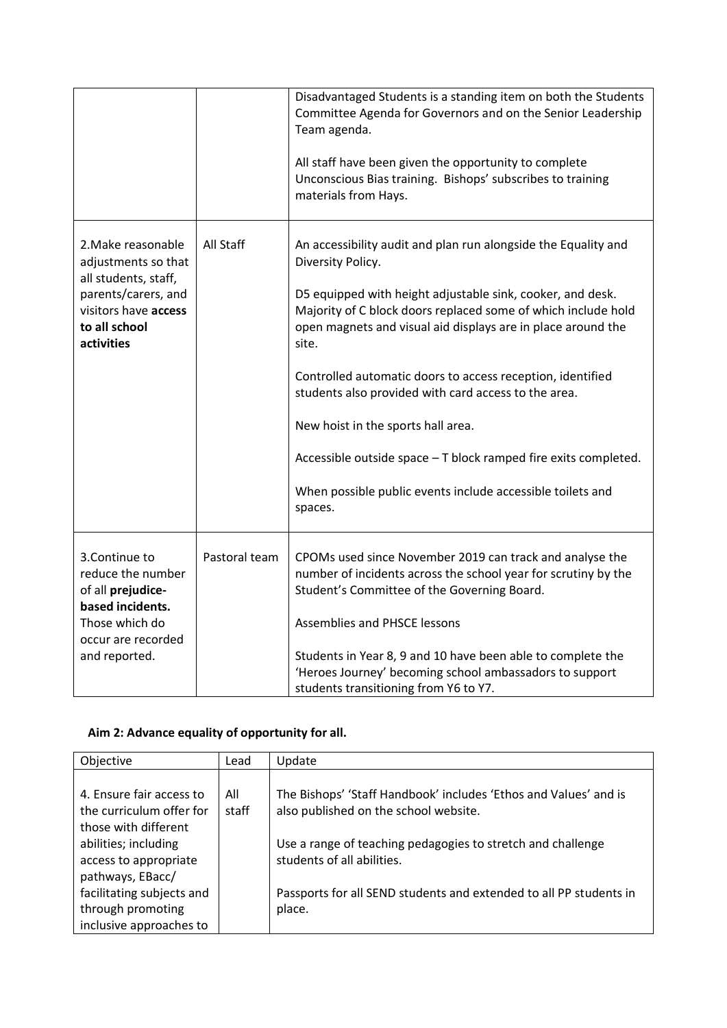|                                                                                                                                                 |               | Disadvantaged Students is a standing item on both the Students<br>Committee Agenda for Governors and on the Senior Leadership<br>Team agenda.<br>All staff have been given the opportunity to complete<br>Unconscious Bias training. Bishops' subscribes to training<br>materials from Hays.                                                                                                                                                                                                                                                                                                        |
|-------------------------------------------------------------------------------------------------------------------------------------------------|---------------|-----------------------------------------------------------------------------------------------------------------------------------------------------------------------------------------------------------------------------------------------------------------------------------------------------------------------------------------------------------------------------------------------------------------------------------------------------------------------------------------------------------------------------------------------------------------------------------------------------|
| 2. Make reasonable<br>adjustments so that<br>all students, staff,<br>parents/carers, and<br>visitors have access<br>to all school<br>activities | All Staff     | An accessibility audit and plan run alongside the Equality and<br>Diversity Policy.<br>D5 equipped with height adjustable sink, cooker, and desk.<br>Majority of C block doors replaced some of which include hold<br>open magnets and visual aid displays are in place around the<br>site.<br>Controlled automatic doors to access reception, identified<br>students also provided with card access to the area.<br>New hoist in the sports hall area.<br>Accessible outside space - T block ramped fire exits completed.<br>When possible public events include accessible toilets and<br>spaces. |
| 3.Continue to<br>reduce the number<br>of all prejudice-<br>based incidents.<br>Those which do<br>occur are recorded<br>and reported.            | Pastoral team | CPOMs used since November 2019 can track and analyse the<br>number of incidents across the school year for scrutiny by the<br>Student's Committee of the Governing Board.<br><b>Assemblies and PHSCE lessons</b><br>Students in Year 8, 9 and 10 have been able to complete the<br>'Heroes Journey' becoming school ambassadors to support<br>students transitioning from Y6 to Y7.                                                                                                                                                                                                                 |

# **Aim 2: Advance equality of opportunity for all.**

| Objective                 | Lead  | Update                                                             |
|---------------------------|-------|--------------------------------------------------------------------|
|                           |       |                                                                    |
| 4. Ensure fair access to  | All   | The Bishops' 'Staff Handbook' includes 'Ethos and Values' and is   |
| the curriculum offer for  | staff | also published on the school website.                              |
|                           |       |                                                                    |
| those with different      |       |                                                                    |
| abilities; including      |       | Use a range of teaching pedagogies to stretch and challenge        |
| access to appropriate     |       | students of all abilities.                                         |
| pathways, EBacc/          |       |                                                                    |
|                           |       |                                                                    |
| facilitating subjects and |       | Passports for all SEND students and extended to all PP students in |
| through promoting         |       | place.                                                             |
| inclusive approaches to   |       |                                                                    |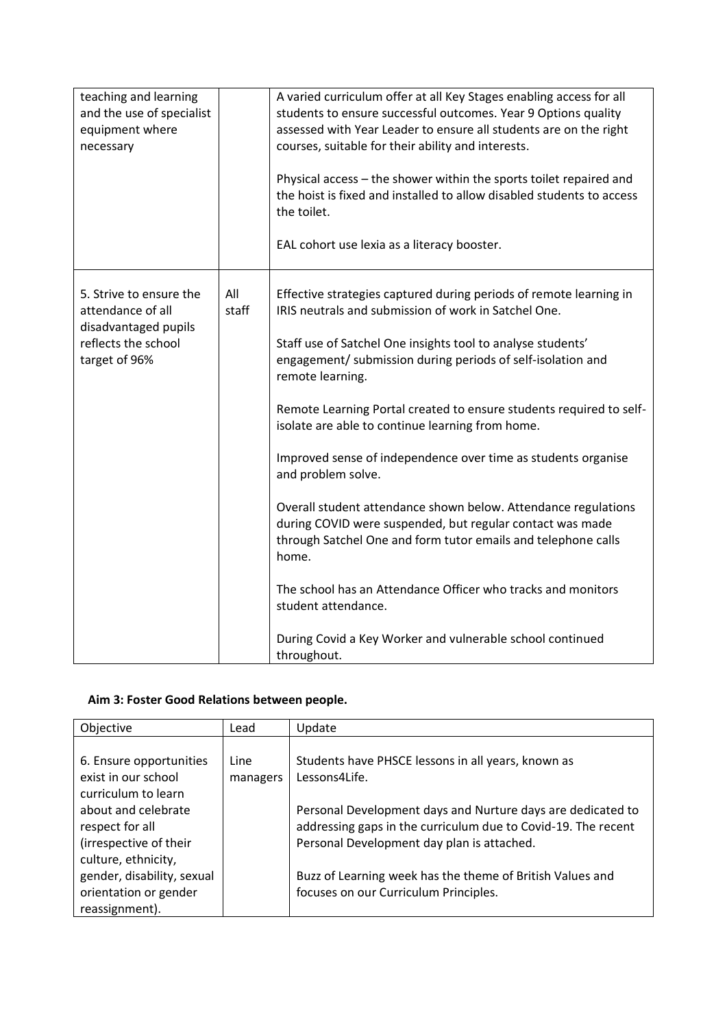| teaching and learning<br>and the use of specialist<br>equipment where<br>necessary                           |              | A varied curriculum offer at all Key Stages enabling access for all<br>students to ensure successful outcomes. Year 9 Options quality<br>assessed with Year Leader to ensure all students are on the right<br>courses, suitable for their ability and interests.<br>Physical access - the shower within the sports toilet repaired and<br>the hoist is fixed and installed to allow disabled students to access<br>the toilet.<br>EAL cohort use lexia as a literacy booster.                                                                                                                                                                                                                                                                                                                                                                                              |
|--------------------------------------------------------------------------------------------------------------|--------------|----------------------------------------------------------------------------------------------------------------------------------------------------------------------------------------------------------------------------------------------------------------------------------------------------------------------------------------------------------------------------------------------------------------------------------------------------------------------------------------------------------------------------------------------------------------------------------------------------------------------------------------------------------------------------------------------------------------------------------------------------------------------------------------------------------------------------------------------------------------------------|
| 5. Strive to ensure the<br>attendance of all<br>disadvantaged pupils<br>reflects the school<br>target of 96% | All<br>staff | Effective strategies captured during periods of remote learning in<br>IRIS neutrals and submission of work in Satchel One.<br>Staff use of Satchel One insights tool to analyse students'<br>engagement/ submission during periods of self-isolation and<br>remote learning.<br>Remote Learning Portal created to ensure students required to self-<br>isolate are able to continue learning from home.<br>Improved sense of independence over time as students organise<br>and problem solve.<br>Overall student attendance shown below. Attendance regulations<br>during COVID were suspended, but regular contact was made<br>through Satchel One and form tutor emails and telephone calls<br>home.<br>The school has an Attendance Officer who tracks and monitors<br>student attendance.<br>During Covid a Key Worker and vulnerable school continued<br>throughout. |

# **Aim 3: Foster Good Relations between people.**

| Objective                                                                                                                                                        | Lead             | Update                                                                                                                                                                                                                                            |
|------------------------------------------------------------------------------------------------------------------------------------------------------------------|------------------|---------------------------------------------------------------------------------------------------------------------------------------------------------------------------------------------------------------------------------------------------|
| 6. Ensure opportunities<br>exist in our school<br>curriculum to learn<br>about and celebrate<br>respect for all<br>(irrespective of their<br>culture, ethnicity, | Line<br>managers | Students have PHSCE lessons in all years, known as<br>Lessons4Life.<br>Personal Development days and Nurture days are dedicated to<br>addressing gaps in the curriculum due to Covid-19. The recent<br>Personal Development day plan is attached. |
| gender, disability, sexual<br>orientation or gender<br>reassignment).                                                                                            |                  | Buzz of Learning week has the theme of British Values and<br>focuses on our Curriculum Principles.                                                                                                                                                |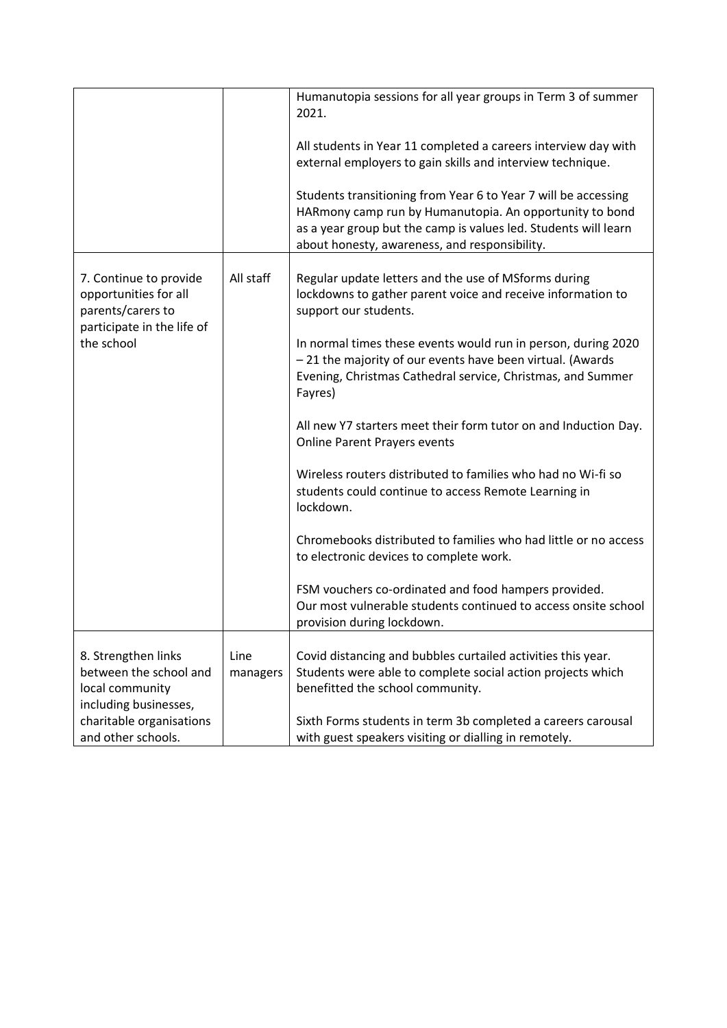|                                                                                                    |                  | Humanutopia sessions for all year groups in Term 3 of summer<br>2021.                                                                                                                                                                         |
|----------------------------------------------------------------------------------------------------|------------------|-----------------------------------------------------------------------------------------------------------------------------------------------------------------------------------------------------------------------------------------------|
|                                                                                                    |                  | All students in Year 11 completed a careers interview day with<br>external employers to gain skills and interview technique.                                                                                                                  |
|                                                                                                    |                  | Students transitioning from Year 6 to Year 7 will be accessing<br>HARmony camp run by Humanutopia. An opportunity to bond<br>as a year group but the camp is values led. Students will learn<br>about honesty, awareness, and responsibility. |
| 7. Continue to provide<br>opportunities for all<br>parents/carers to<br>participate in the life of | All staff        | Regular update letters and the use of MSforms during<br>lockdowns to gather parent voice and receive information to<br>support our students.                                                                                                  |
| the school                                                                                         |                  | In normal times these events would run in person, during 2020<br>-21 the majority of our events have been virtual. (Awards<br>Evening, Christmas Cathedral service, Christmas, and Summer<br>Fayres)                                          |
|                                                                                                    |                  | All new Y7 starters meet their form tutor on and Induction Day.<br><b>Online Parent Prayers events</b>                                                                                                                                        |
|                                                                                                    |                  | Wireless routers distributed to families who had no Wi-fi so<br>students could continue to access Remote Learning in<br>lockdown.                                                                                                             |
|                                                                                                    |                  | Chromebooks distributed to families who had little or no access<br>to electronic devices to complete work.                                                                                                                                    |
|                                                                                                    |                  | FSM vouchers co-ordinated and food hampers provided.<br>Our most vulnerable students continued to access onsite school<br>provision during lockdown.                                                                                          |
| 8. Strengthen links<br>between the school and<br>local community<br>including businesses,          | Line<br>managers | Covid distancing and bubbles curtailed activities this year.<br>Students were able to complete social action projects which<br>benefitted the school community.                                                                               |
| charitable organisations<br>and other schools.                                                     |                  | Sixth Forms students in term 3b completed a careers carousal<br>with guest speakers visiting or dialling in remotely.                                                                                                                         |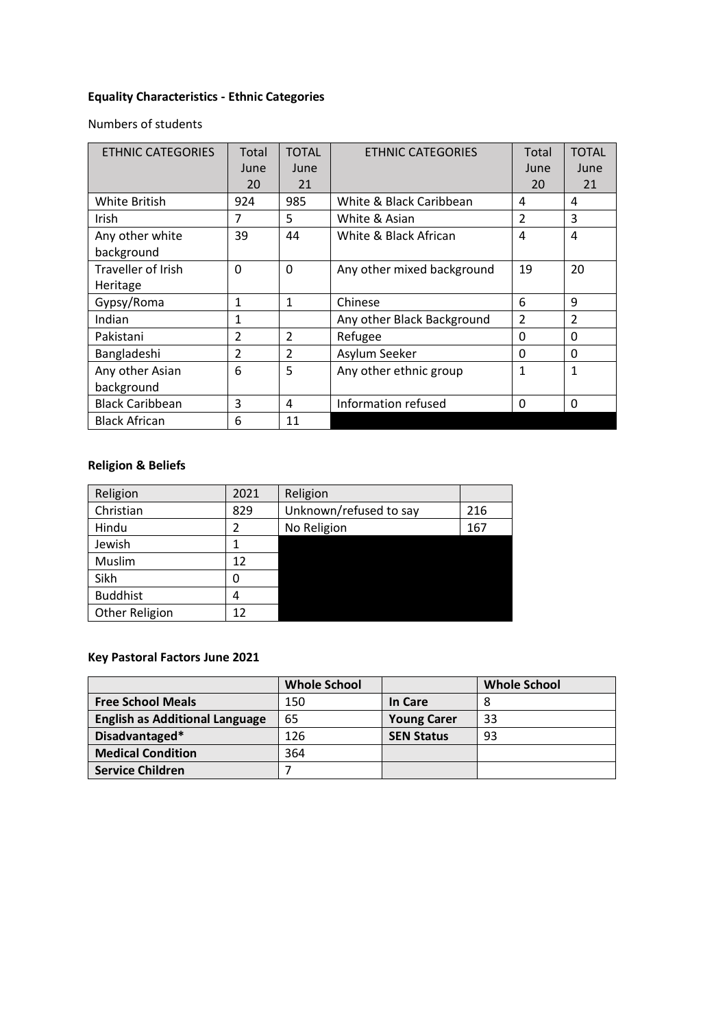# **Equality Characteristics - Ethnic Categories**

Numbers of students

| <b>ETHNIC CATEGORIES</b>  | Total          | <b>TOTAL</b>   | <b>ETHNIC CATEGORIES</b>   | Total         | <b>TOTAL</b>   |
|---------------------------|----------------|----------------|----------------------------|---------------|----------------|
|                           | June           | June           |                            | June          | June           |
|                           | 20             | 21             |                            | 20            | 21             |
| <b>White British</b>      | 924            | 985            | White & Black Caribbean    | 4             | 4              |
| Irish                     | 7              | 5              | White & Asian              | $\mathfrak z$ | 3              |
| Any other white           | 39             | 44             | White & Black African      | 4             | 4              |
| background                |                |                |                            |               |                |
| <b>Traveller of Irish</b> | $\Omega$       | $\Omega$       | Any other mixed background | 19            | 20             |
| Heritage                  |                |                |                            |               |                |
| Gypsy/Roma                | 1              | 1              | Chinese                    | 6             | 9              |
| Indian                    | 1              |                | Any other Black Background | $\mathfrak z$ | $\mathfrak{p}$ |
| Pakistani                 | $\mathfrak{p}$ | $\overline{2}$ | Refugee                    | 0             | $\Omega$       |
| Bangladeshi               | $\mathfrak{p}$ | $\mathcal{P}$  | Asylum Seeker              | 0             | $\Omega$       |
| Any other Asian           | 6              | 5              | Any other ethnic group     | 1             | 1              |
| background                |                |                |                            |               |                |
| <b>Black Caribbean</b>    | 3              | 4              | Information refused        | 0             | $\Omega$       |
| <b>Black African</b>      | 6              | 11             |                            |               |                |

# **Religion & Beliefs**

| Religion        | 2021 | Religion               |     |
|-----------------|------|------------------------|-----|
| Christian       | 829  | Unknown/refused to say | 216 |
| Hindu           | 2    | No Religion            | 167 |
| Jewish          |      |                        |     |
| Muslim          | 12   |                        |     |
| Sikh            | 0    |                        |     |
| <b>Buddhist</b> | 4    |                        |     |
| Other Religion  | 12   |                        |     |

### **Key Pastoral Factors June 2021**

|                                       | <b>Whole School</b> |                    | <b>Whole School</b> |
|---------------------------------------|---------------------|--------------------|---------------------|
| <b>Free School Meals</b>              | 150                 | In Care            | 8                   |
| <b>English as Additional Language</b> | 65                  | <b>Young Carer</b> | 33                  |
| Disadvantaged*                        | 126                 | <b>SEN Status</b>  | 93                  |
| <b>Medical Condition</b>              | 364                 |                    |                     |
| <b>Service Children</b>               |                     |                    |                     |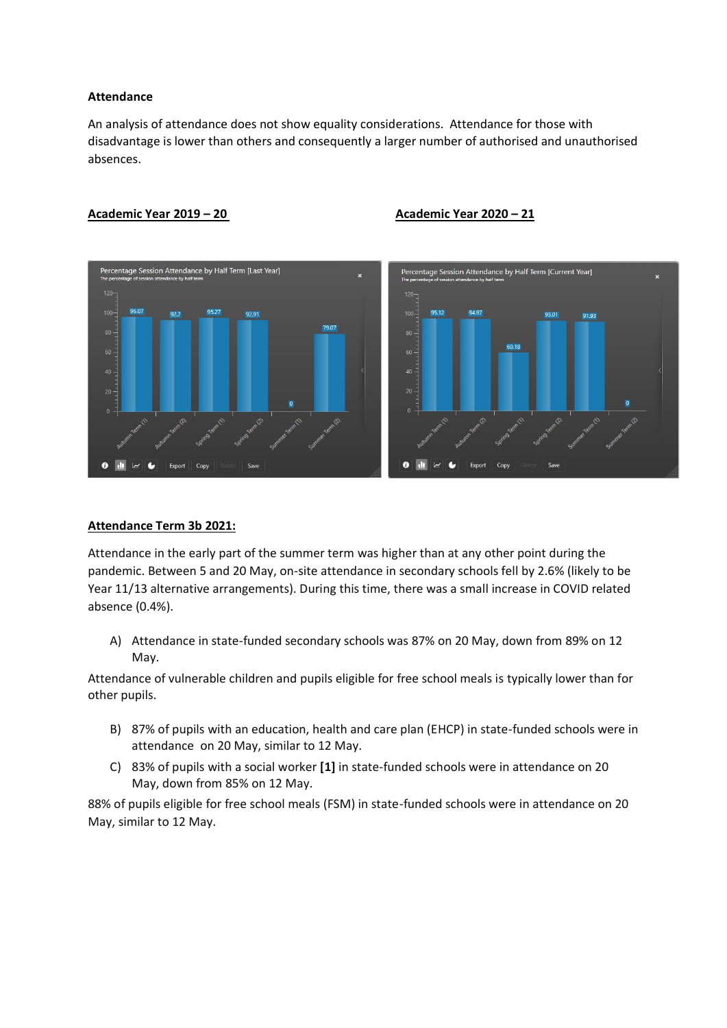#### **Attendance**

An analysis of attendance does not show equality considerations. Attendance for those with disadvantage is lower than others and consequently a larger number of authorised and unauthorised absences.



#### **Academic Year 2019 – 20 Academic Year 2020 – 21**

#### **Attendance Term 3b 2021:**

Attendance in the early part of the summer term was higher than at any other point during the pandemic. Between 5 and 20 May, on-site attendance in secondary schools fell by 2.6% (likely to be Year 11/13 alternative arrangements). During this time, there was a small increase in COVID related absence (0.4%).

A) Attendance in state-funded secondary schools was 87% on 20 May, down from 89% on 12 May.

Attendance of vulnerable children and pupils eligible for free school meals is typically lower than for other pupils.

- B) 87% of pupils with an education, health and care plan (EHCP) in state-funded schools were in attendance on 20 May, similar to 12 May.
- C) 83% of pupils with a social worker **[1]** in state-funded schools were in attendance on 20 May, down from 85% on 12 May.

88% of pupils eligible for free school meals (FSM) in state-funded schools were in attendance on 20 May, similar to 12 May.